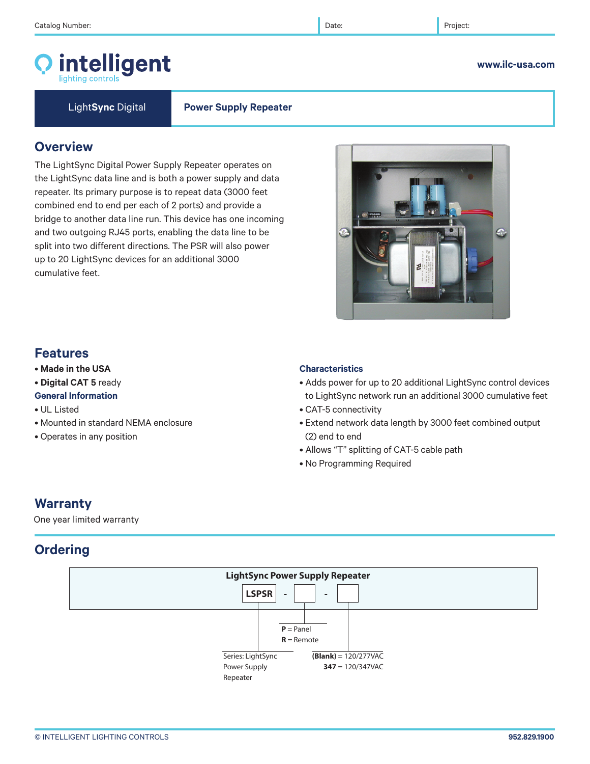# intelligent

Light**Sync** Digital **Power Supply Repeater**

# **Overview**

The LightSync Digital Power Supply Repeater operates on the LightSync data line and is both a power supply and data repeater. Its primary purpose is to repeat data (3000 feet combined end to end per each of 2 ports) and provide a bridge to another data line run. This device has one incoming and two outgoing RJ45 ports, enabling the data line to be split into two different directions. The PSR will also power up to 20 LightSync devices for an additional 3000 cumulative feet.

# $\mathbf{C}$

# **Features**

- **Made in the USA**
- **Digital CAT 5** ready
- **General Information**
- UL Listed
- Mounted in standard NEMA enclosure
- Operates in any position

# **Characteristics**

- Adds power for up to 20 additional LightSync control devices to LightSync network run an additional 3000 cumulative feet
- CAT-5 connectivity
- Extend network data length by 3000 feet combined output (2) end to end
- Allows "T" splitting of CAT-5 cable path
- No Programming Required

# **Warranty**

One year limited warranty

# **Ordering**